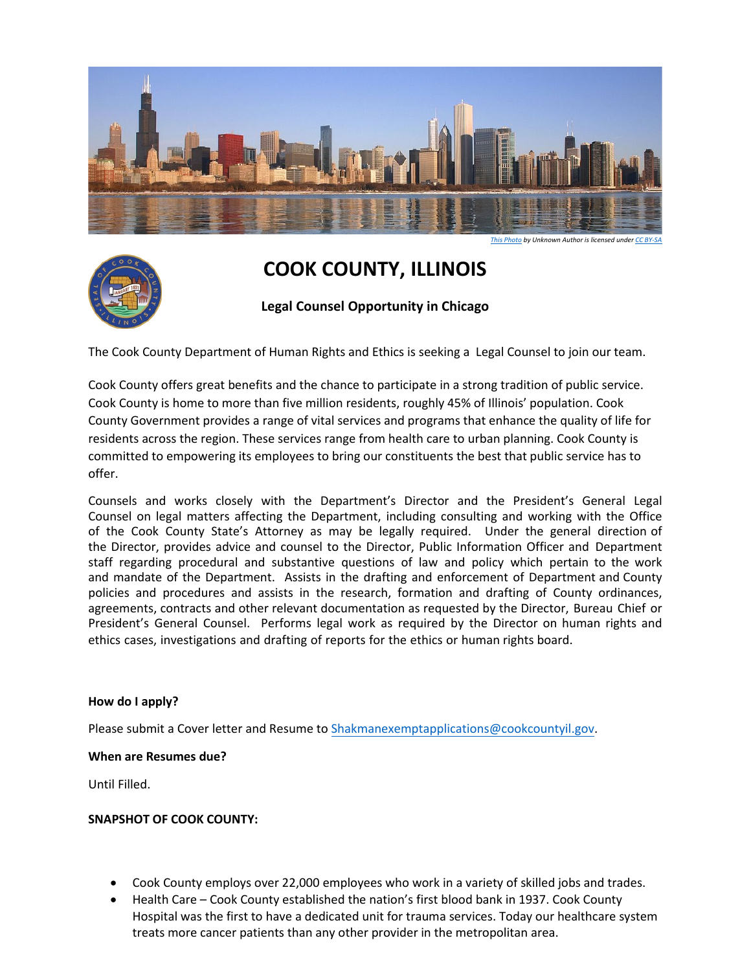

# **COOK COUNTY, ILLINOIS**

**Legal Counsel Opportunity in Chicago**

The Cook County Department of Human Rights and Ethics is seeking a Legal Counsel to join our team.

Cook County offers great benefits and the chance to participate in a strong tradition of public service. Cook County is home to more than five million residents, roughly 45% of Illinois' population. Cook County Government provides a range of vital services and programs that enhance the quality of life for residents across the region. These services range from health care to urban planning. Cook County is committed to empowering its employees to bring our constituents the best that public service has to offer.

Counsels and works closely with the Department's Director and the President's General Legal Counsel on legal matters affecting the Department, including consulting and working with the Office of the Cook County State's Attorney as may be legally required. Under the general direction of the Director, provides advice and counsel to the Director, Public Information Officer and Department staff regarding procedural and substantive questions of law and policy which pertain to the work and mandate of the Department. Assists in the drafting and enforcement of Department and County policies and procedures and assists in the research, formation and drafting of County ordinances, agreements, contracts and other relevant documentation as requested by the Director, Bureau Chief or President's General Counsel. Performs legal work as required by the Director on human rights and ethics cases, investigations and drafting of reports for the ethics or human rights board.

### **How do I apply?**

Please submit a Cover letter and Resume to Shakmanexemptapplications@cookcountyil.gov.

### **When are Resumes due?**

Until Filled.

### **SNAPSHOT OF COOK COUNTY:**

- Cook County employs over 22,000 employees who work in a variety of skilled jobs and trades.
- Health Care Cook County established the nation's first blood bank in 1937. Cook County Hospital was the first to have a dedicated unit for trauma services. Today our healthcare system treats more cancer patients than any other provider in the metropolitan area.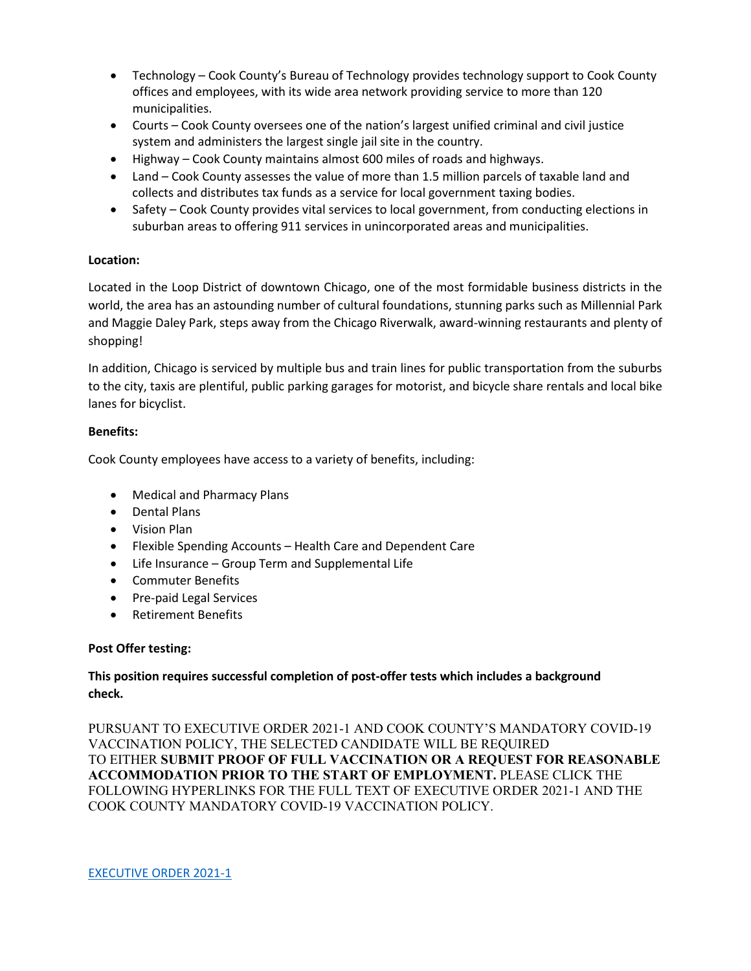- Technology Cook County's Bureau of Technology provides technology support to Cook County offices and employees, with its wide area network providing service to more than 120 municipalities.
- Courts Cook County oversees one of the nation's largest unified criminal and civil justice system and administers the largest single jail site in the country.
- Highway Cook County maintains almost 600 miles of roads and highways.
- Land Cook County assesses the value of more than 1.5 million parcels of taxable land and collects and distributes tax funds as a service for local government taxing bodies.
- Safety Cook County provides vital services to local government, from conducting elections in suburban areas to offering 911 services in unincorporated areas and municipalities.

### **Location:**

Located in the Loop District of downtown Chicago, one of the most formidable business districts in the world, the area has an astounding number of cultural foundations, stunning parks such as Millennial Park and Maggie Daley Park, steps away from the Chicago Riverwalk, award-winning restaurants and plenty of shopping!

In addition, Chicago is serviced by multiple bus and train lines for public transportation from the suburbs to the city, taxis are plentiful, public parking garages for motorist, and bicycle share rentals and local bike lanes for bicyclist.

### **Benefits:**

Cook County employees have access to a variety of benefits, including:

- Medical and Pharmacy Plans
- Dental Plans
- Vision Plan
- Flexible Spending Accounts Health Care and Dependent Care
- Life Insurance Group Term and Supplemental Life
- Commuter Benefits
- Pre-paid Legal Services
- Retirement Benefits

### **Post Offer testing:**

### **This position requires successful completion of post-offer tests which includes a background check.**

PURSUANT TO EXECUTIVE ORDER 2021-1 AND COOK COUNTY'S MANDATORY COVID-19 VACCINATION POLICY, THE SELECTED CANDIDATE WILL BE REQUIRED TO EITHER **SUBMIT PROOF OF FULL VACCINATION OR A REQUEST FOR REASONABLE ACCOMMODATION PRIOR TO THE START OF EMPLOYMENT.** PLEASE CLICK THE FOLLOWING HYPERLINKS FOR THE FULL TEXT OF EXECUTIVE ORDER 2021-1 AND THE COOK COUNTY MANDATORY COVID-19 VACCINATION POLICY.

[EXECUTIVE ORDER 2021-1](https://www.cookcountyil.gov/agency/office-president)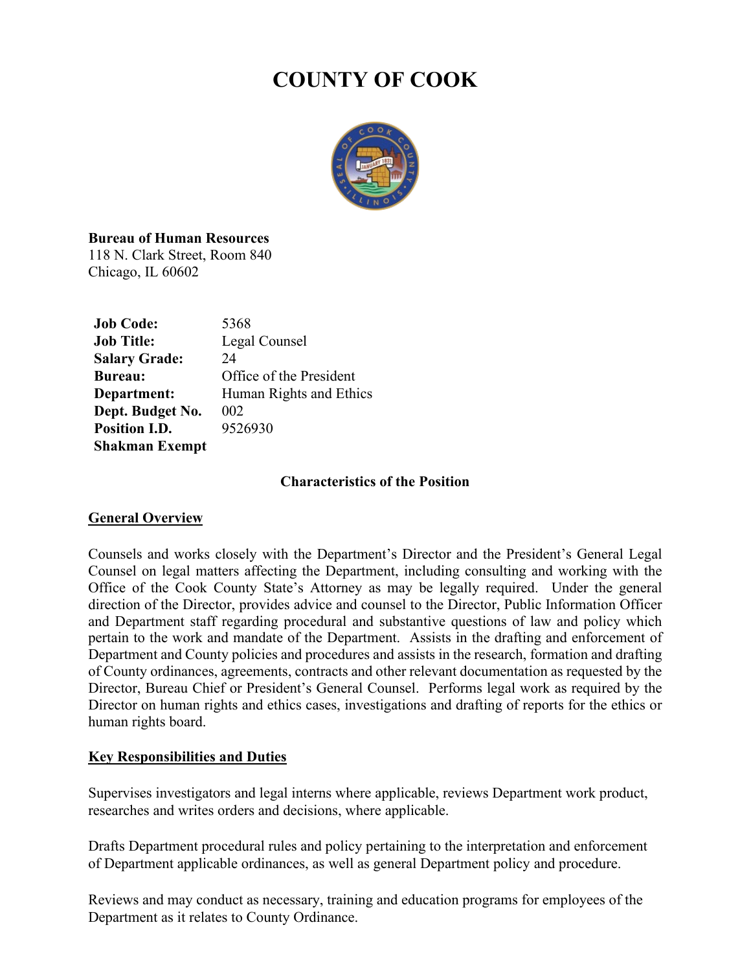# **COUNTY OF COOK**



# **Bureau of Human Resources**

118 N. Clark Street, Room 840 Chicago, IL 60602

| <b>Job Code:</b>      | 5368                    |
|-----------------------|-------------------------|
| <b>Job Title:</b>     | Legal Counsel           |
| <b>Salary Grade:</b>  | 24                      |
| <b>Bureau:</b>        | Office of the President |
| Department:           | Human Rights and Ethics |
| Dept. Budget No.      | 002                     |
| <b>Position I.D.</b>  | 9526930                 |
| <b>Shakman Exempt</b> |                         |

### **Characteristics of the Position**

### **General Overview**

Counsels and works closely with the Department's Director and the President's General Legal Counsel on legal matters affecting the Department, including consulting and working with the Office of the Cook County State's Attorney as may be legally required. Under the general direction of the Director, provides advice and counsel to the Director, Public Information Officer and Department staff regarding procedural and substantive questions of law and policy which pertain to the work and mandate of the Department. Assists in the drafting and enforcement of Department and County policies and procedures and assists in the research, formation and drafting of County ordinances, agreements, contracts and other relevant documentation as requested by the Director, Bureau Chief or President's General Counsel. Performs legal work as required by the Director on human rights and ethics cases, investigations and drafting of reports for the ethics or human rights board.

### **Key Responsibilities and Duties**

Supervises investigators and legal interns where applicable, reviews Department work product, researches and writes orders and decisions, where applicable.

Drafts Department procedural rules and policy pertaining to the interpretation and enforcement of Department applicable ordinances, as well as general Department policy and procedure.

Reviews and may conduct as necessary, training and education programs for employees of the Department as it relates to County Ordinance.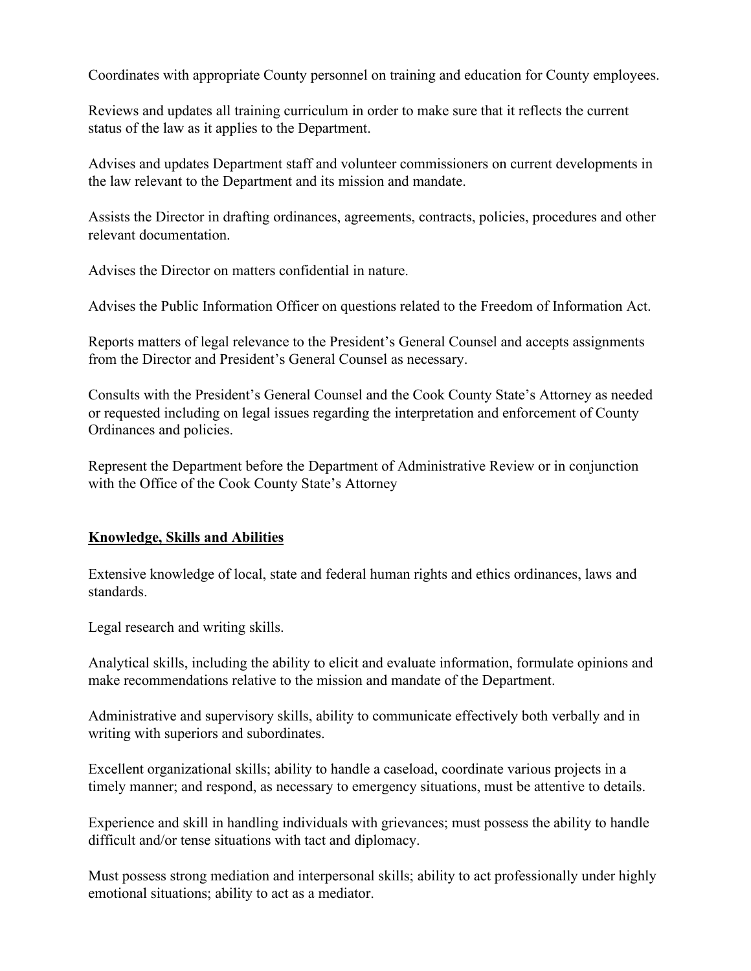Coordinates with appropriate County personnel on training and education for County employees.

Reviews and updates all training curriculum in order to make sure that it reflects the current status of the law as it applies to the Department.

Advises and updates Department staff and volunteer commissioners on current developments in the law relevant to the Department and its mission and mandate.

Assists the Director in drafting ordinances, agreements, contracts, policies, procedures and other relevant documentation.

Advises the Director on matters confidential in nature.

Advises the Public Information Officer on questions related to the Freedom of Information Act.

Reports matters of legal relevance to the President's General Counsel and accepts assignments from the Director and President's General Counsel as necessary.

Consults with the President's General Counsel and the Cook County State's Attorney as needed or requested including on legal issues regarding the interpretation and enforcement of County Ordinances and policies.

Represent the Department before the Department of Administrative Review or in conjunction with the Office of the Cook County State's Attorney

# **Knowledge, Skills and Abilities**

Extensive knowledge of local, state and federal human rights and ethics ordinances, laws and standards.

Legal research and writing skills.

Analytical skills, including the ability to elicit and evaluate information, formulate opinions and make recommendations relative to the mission and mandate of the Department.

Administrative and supervisory skills, ability to communicate effectively both verbally and in writing with superiors and subordinates.

Excellent organizational skills; ability to handle a caseload, coordinate various projects in a timely manner; and respond, as necessary to emergency situations, must be attentive to details.

Experience and skill in handling individuals with grievances; must possess the ability to handle difficult and/or tense situations with tact and diplomacy.

Must possess strong mediation and interpersonal skills; ability to act professionally under highly emotional situations; ability to act as a mediator.